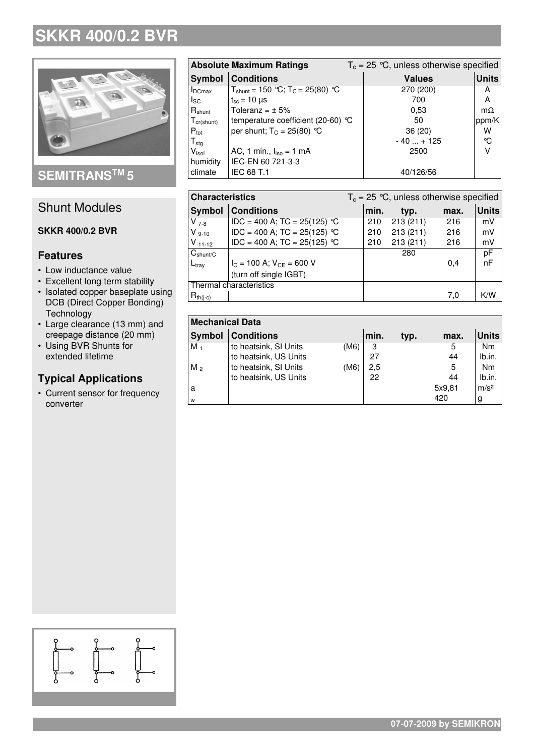## **SKKR 400/0.2 BVR**



**SEMITRANS TM 5**

### Shunt Modules

#### **SKKR 400/0.2 BVR**

#### **Features**

- Low inductance value
- Excellent long term stability
- Isolated copper baseplate using DCB (Direct Copper Bonding) **Technology**
- Large clearance (13 mm) and creepage distance (20 mm)
- Using BVR Shunts for extended lifetime

#### **Typical Applications**

• Current sensor for frequency converter

| <b>Absolute Maximum Ratings</b> |                                         | $T_c = 25$ °C, unless otherwise specified |               |              |  |
|---------------------------------|-----------------------------------------|-------------------------------------------|---------------|--------------|--|
| Symbol                          | <b>Conditions</b>                       |                                           | <b>Values</b> | <b>Units</b> |  |
| $I_{DCmax}$                     | $T_{shunt}$ = 150 °C; $T_c$ = 25(80) °C |                                           | 270 (200)     | A            |  |
| <sub>sc</sub>                   | $t_{\rm sc}$ = 10 $\mu$ s               |                                           | 700           | A            |  |
| $R_{shunt}$                     | Toleranz = $\pm$ 5%                     |                                           | 0.53          | $m\Omega$    |  |
| $T_{cr(shunt)}$                 | temperature coefficient (20-60) $°C$    |                                           | 50            | ppm/K        |  |
| $P_{\text{tot}}$                | per shunt; $T_c = 25(80)$ °C            |                                           | 36(20)        | w            |  |
| $T_{\text{stg}}$                |                                         |                                           | $-40 + 125$   | °C           |  |
| $V_{\sf isol}$                  | AC, 1 min., $I_{iso} = 1$ mA            |                                           | 2500          | ν            |  |
| humidity                        | IEC-EN 60 721-3-3                       |                                           |               |              |  |
| climate                         | <b>IEC 68 T.1</b>                       |                                           | 40/126/56     |              |  |

| <b>Characteristics</b>  |                                 | $T_c = 25$ °C, unless otherwise specified |      |          |      |              |
|-------------------------|---------------------------------|-------------------------------------------|------|----------|------|--------------|
| Symbol                  | <b>Conditions</b>               |                                           | min. | typ.     | max. | <b>Units</b> |
| $V_{7-8}$               | $IDC = 400 A$ ; TC = 25(125) °C |                                           | 210  | 213(211) | 216  | mV           |
| $V_{9-10}$              | $IDC = 400 A$ ; TC = 25(125) °C |                                           | 210  | 213(211) | 216  | mV           |
| $V_{11-12}$             | $IDC = 400 A$ ; TC = 25(125) °C |                                           | 210  | 213(211) | 216  | mV           |
| $C_{shunt/C}$           |                                 |                                           |      | 280      |      | pF           |
| $L_{\text{trav}}$       | $I_C = 100$ A; $V_{CE} = 600$ V |                                           |      |          | 0.4  | nF           |
|                         | (turn off single IGBT)          |                                           |      |          |      |              |
| Thermal characteristics |                                 |                                           |      |          |      |              |
| $R_{th(i-c)}$           |                                 |                                           |      |          | 7.0  | K/W          |

| <b>Mechanical Data</b> |                       |      |      |      |        |                  |  |  |
|------------------------|-----------------------|------|------|------|--------|------------------|--|--|
| <b>Symbol</b>          | <b>Conditions</b>     |      | min. | typ. | max.   | <b>Units</b>     |  |  |
| $M_1$                  | to heatsink, SI Units | (M6) | 3    |      | 5      | <b>Nm</b>        |  |  |
|                        | to heatsink, US Units |      | 27   |      | 44     | lb.in.           |  |  |
| $M_{2}$                | to heatsink, SI Units | (M6) | 2,5  |      | 5      | <b>Nm</b>        |  |  |
|                        | to heatsink, US Units |      | 22   |      | 44     | lb.in.           |  |  |
| a                      |                       |      |      |      | 5x9,81 | m/s <sup>2</sup> |  |  |
| W                      |                       |      |      |      | 420    | g                |  |  |